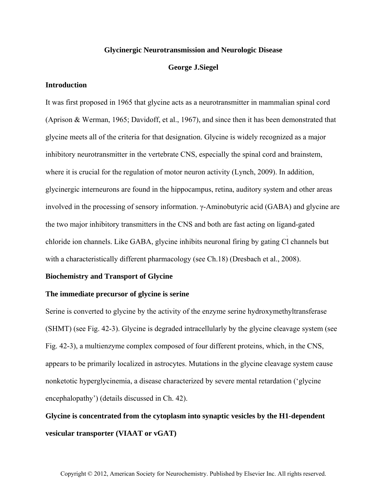## **Glycinergic Neurotransmission and Neurologic Disease**

### **George J.Siegel**

# **Introduction**

It was first proposed in 1965 that glycine acts as a neurotransmitter in mammalian spinal cord (Aprison & Werman, 1965; Davidoff, et al., 1967), and since then it has been demonstrated that glycine meets all of the criteria for that designation. Glycine is widely recognized as a major inhibitory neurotransmitter in the vertebrate CNS, especially the spinal cord and brainstem, where it is crucial for the regulation of motor neuron activity (Lynch, 2009). In addition, glycinergic interneurons are found in the hippocampus, retina, auditory system and other areas involved in the processing of sensory information. γ-Aminobutyric acid (GABA) and glycine are the two major inhibitory transmitters in the CNS and both are fast acting on ligand-gated chloride ion channels. Like GABA, glycine inhibits neuronal firing by gating Cl channels but with a characteristically different pharmacology (see Ch.18) (Dresbach et al., 2008).

#### **Biochemistry and Transport of Glycine**

### **The immediate precursor of glycine is serine**

Serine is converted to glycine by the activity of the enzyme serine hydroxymethyltransferase (SHMT) (see Fig. 42-3). Glycine is degraded intracellularly by the glycine cleavage system (see Fig. 42-3), a multienzyme complex composed of four different proteins, which, in the CNS, appears to be primarily localized in astrocytes. Mutations in the glycine cleavage system cause nonketotic hyperglycinemia, a disease characterized by severe mental retardation ('glycine encephalopathy') (details discussed in Ch. 42).

**Glycine is concentrated from the cytoplasm into synaptic vesicles by the H1-dependent vesicular transporter (VIAAT or vGAT)**